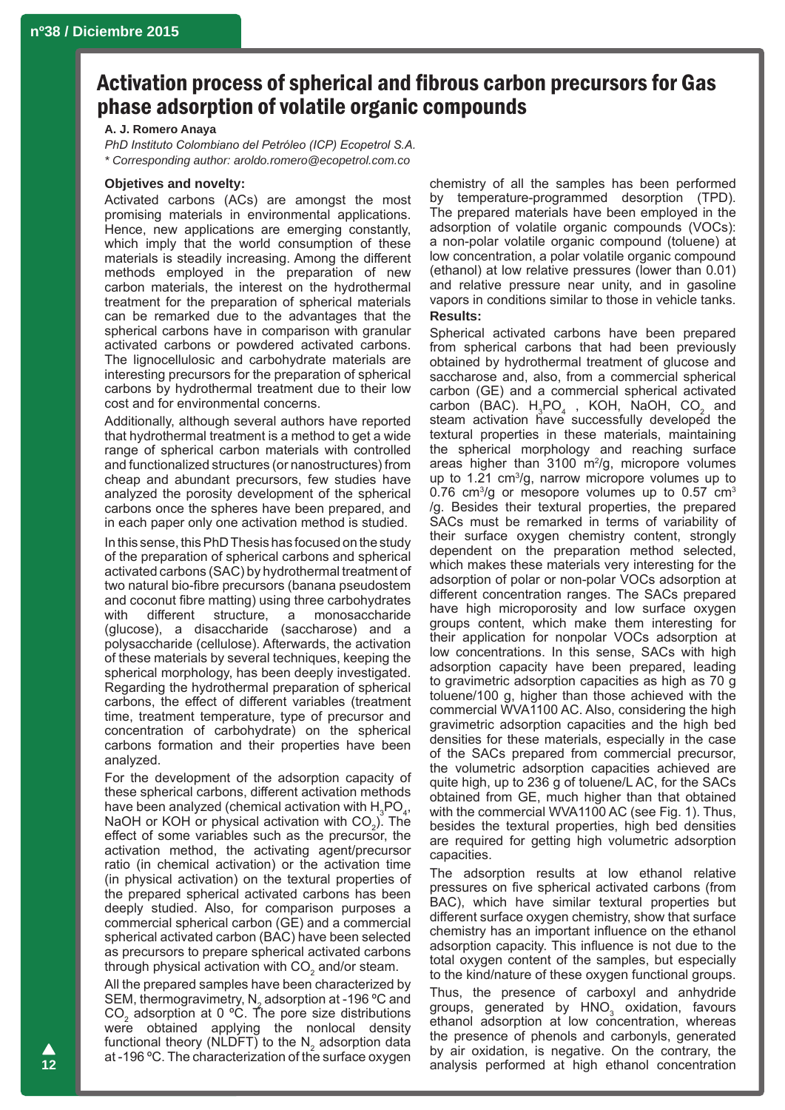# Activation process of spherical and fibrous carbon precursors for Gas phase adsorption of volatile organic compounds

#### **A. J. Romero Anaya**

*PhD Instituto Colombiano del Petróleo (ICP) Ecopetrol S.A. \* Corresponding author: aroldo.romero@ecopetrol.com.co*

## **Objetives and novelty:**

Activated carbons (ACs) are amongst the most promising materials in environmental applications. Hence, new applications are emerging constantly, which imply that the world consumption of these materials is steadily increasing. Among the different methods employed in the preparation of new carbon materials, the interest on the hydrothermal treatment for the preparation of spherical materials can be remarked due to the advantages that the spherical carbons have in comparison with granular activated carbons or powdered activated carbons. The lignocellulosic and carbohydrate materials are interesting precursors for the preparation of spherical carbons by hydrothermal treatment due to their low cost and for environmental concerns.

Additionally, although several authors have reported that hydrothermal treatment is a method to get a wide range of spherical carbon materials with controlled and functionalized structures (or nanostructures) from cheap and abundant precursors, few studies have analyzed the porosity development of the spherical carbons once the spheres have been prepared, and in each paper only one activation method is studied.

In this sense, this PhD Thesis has focused on the study of the preparation of spherical carbons and spherical activated carbons (SAC) by hydrothermal treatment of two natural bio-fibre precursors (banana pseudostem and coconut fibre matting) using three carbohydrates with different structure, a monosaccharide (glucose), a disaccharide (saccharose) and a polysaccharide (cellulose). Afterwards, the activation of these materials by several techniques, keeping the spherical morphology, has been deeply investigated. Regarding the hydrothermal preparation of spherical carbons, the effect of different variables (treatment time, treatment temperature, type of precursor and concentration of carbohydrate) on the spherical carbons formation and their properties have been analyzed.

For the development of the adsorption capacity of these spherical carbons, different activation methods have been analyzed (chemical activation with  $H_3PQ_4$ , NaOH or KOH or physical activation with  $CO<sub>2</sub>$ ). The effect of some variables such as the precursor, the activation method, the activating agent/precursor ratio (in chemical activation) or the activation time (in physical activation) on the textural properties of the prepared spherical activated carbons has been deeply studied. Also, for comparison purposes a commercial spherical carbon (GE) and a commercial spherical activated carbon (BAC) have been selected as precursors to prepare spherical activated carbons through physical activation with CO $_2^{}$  and/or steam.

All the prepared samples have been characterized by SEM, thermogravimetry,  $N_2$  adsorption at -196 °C and  $CO<sub>2</sub>$  adsorption at 0 °C. The pore size distributions were obtained applying the nonlocal density functional theory (NLDFT) to the  $N_2$  adsorption data at -196 ºC. The characterization of the surface oxygen

chemistry of all the samples has been performed by temperature-programmed desorption (TPD). The prepared materials have been employed in the adsorption of volatile organic compounds (VOCs): a non-polar volatile organic compound (toluene) at low concentration, a polar volatile organic compound (ethanol) at low relative pressures (lower than 0.01) and relative pressure near unity, and in gasoline vapors in conditions similar to those in vehicle tanks. **Results:** 

Spherical activated carbons have been prepared from spherical carbons that had been previously obtained by hydrothermal treatment of glucose and saccharose and, also, from a commercial spherical carbon (GE) and a commercial spherical activated carbon (BAC).  $H_3PO_4$ , KOH, NaOH, CO<sub>2</sub> and steam activation have successfully developed the textural properties in these materials, maintaining the spherical morphology and reaching surface areas higher than  $3100 \, \text{m}^2/\text{g}$ , micropore volumes up to 1.21 cm3 /g, narrow micropore volumes up to 0.76 cm $3/g$  or mesopore volumes up to 0.57 cm $3$ /g. Besides their textural properties, the prepared SACs must be remarked in terms of variability of their surface oxygen chemistry content, strongly dependent on the preparation method selected, which makes these materials very interesting for the adsorption of polar or non-polar VOCs adsorption at different concentration ranges. The SACs prepared have high microporosity and low surface oxygen groups content, which make them interesting for their application for nonpolar VOCs adsorption at low concentrations. In this sense, SACs with high adsorption capacity have been prepared, leading to gravimetric adsorption capacities as high as 70 g toluene/100 g, higher than those achieved with the commercial WVA1100 AC. Also, considering the high gravimetric adsorption capacities and the high bed densities for these materials, especially in the case of the SACs prepared from commercial precursor, the volumetric adsorption capacities achieved are quite high, up to 236 g of toluene/L AC, for the SACs obtained from GE, much higher than that obtained with the commercial WVA1100 AC (see Fig. 1). Thus, besides the textural properties, high bed densities are required for getting high volumetric adsorption capacities.

The adsorption results at low ethanol relative pressures on five spherical activated carbons (from BAC), which have similar textural properties but different surface oxygen chemistry, show that surface chemistry has an important influence on the ethanol adsorption capacity. This influence is not due to the total oxygen content of the samples, but especially to the kind/nature of these oxygen functional groups. Thus, the presence of carboxyl and anhydride groups, generated by  $HNO<sub>3</sub>$  oxidation, favours ethanol adsorption at low concentration, whereas the presence of phenols and carbonyls, generated by air oxidation, is negative. On the contrary, the analysis performed at high ethanol concentration